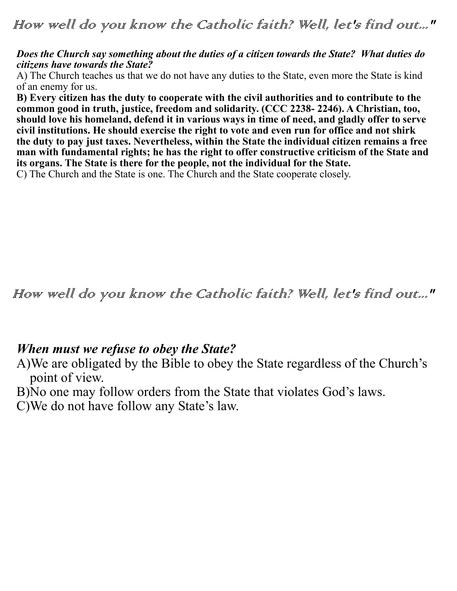## *Does the Church say something about the duties of a citizen towards the State? What duties do citizens have towards the State?*

A) The Church teaches us that we do not have any duties to the State, even more the State is kind of an enemy for us.

**B) Every citizen has the duty to cooperate with the civil authorities and to contribute to the common good in truth, justice, freedom and solidarity. (CCC 2238- 2246). A Christian, too, should love his homeland, defend it in various ways in time of need, and gladly offer to serve civil institutions. He should exercise the right to vote and even run for office and not shirk the duty to pay just taxes. Nevertheless, within the State the individual citizen remains a free man with fundamental rights; he has the right to offer constructive criticism of the State and its organs. The State is there for the people, not the individual for the State.** 

C) The Church and the State is one. The Church and the State cooperate closely.

How well do you know the Catholic faith? Well, let's find out..."

## *When must we refuse to obey the State?*

A)We are obligated by the Bible to obey the State regardless of the Church's point of view.

B)No one may follow orders from the State that violates God's laws.

C)We do not have follow any State's law.